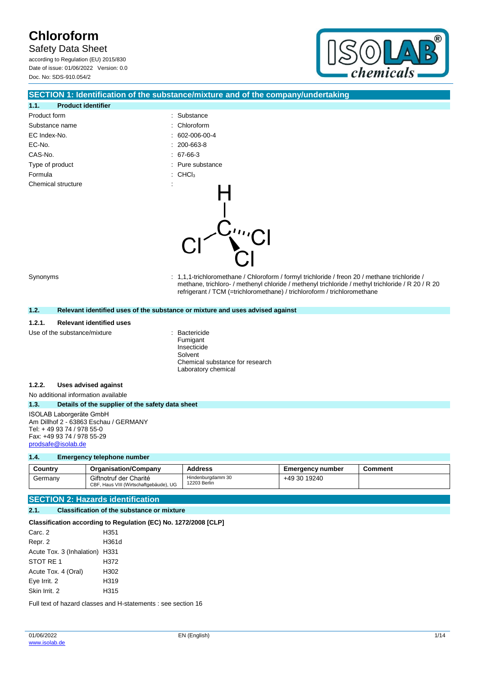Safety Data Sheet

according to Regulation (EU) 2015/830 Date of issue: 01/06/2022 Version: 0.0 Doc. No: SDS-910.054/2



### **SECTION 1: Identification of the substance/mixture and of the company/undertaking**

| 1.1.<br><b>Product identifier</b> |                          |                                |
|-----------------------------------|--------------------------|--------------------------------|
| Product form                      |                          | : Substance                    |
| Substance name                    |                          | : Chloroform                   |
| EC Index-No.                      |                          | $: 602 - 006 - 00 - 4$         |
| EC-No.                            |                          | $: 200 - 663 - 8$              |
| CAS-No.                           |                          | 67-66-3                        |
| Type of product                   |                          | : Pure substance               |
| Formula                           |                          | $\therefore$ CHCl <sub>3</sub> |
| Chemical structure                | $\overline{\phantom{a}}$ |                                |

Synonyms : 1,1,1-trichloromethane / Chloroform / formyl trichloride / freon 20 / methane trichloride / methane, trichloro- / methenyl chloride / methenyl trichloride / methyl trichloride / R 20 / R 20 refrigerant / TCM (=trichloromethane) / trichloroform / trichloromethane

#### **1.2. Relevant identified uses of the substance or mixture and uses advised against**

#### **1.2.1. Relevant identified uses**

Use of the substance/mixture **interest and the substance/mixture**  $\cdot$  Bactericide

Fumigant Insecticide Solvent Chemical substance for research Laboratory chemical

#### **1.2.2. Uses advised against**

No additional information available

#### **1.3. Details of the supplier of the safety data sheet**

ISOLAB Laborgeräte GmbH Am Dillhof 2 - 63863 Eschau / GERMANY Tel: + 49 93 74 / 978 55-0 Fax: +49 93 74 / 978 55-29 [prodsafe@isolab.de](mailto:prodsafe@isolab.de)

#### **1.4. Emergency telephone number**

| Country | <b>Organisation/Company</b>                                      | <b>Address</b>                    | <b>Emergency number</b> | Comment |
|---------|------------------------------------------------------------------|-----------------------------------|-------------------------|---------|
| Germanv | Giftnotruf der Charité<br>CBF, Haus VIII (Wirtschaftgebäude), UG | Hindenburgdamm 30<br>12203 Berlin | +49 30 19240            |         |

### **SECTION 2: Hazards identification**

#### **2.1. Classification of the substance or mixture**

#### **Classification according to Regulation (EC) No. 1272/2008 [CLP]**

| Carc. 2                        | H351  |
|--------------------------------|-------|
| Repr. 2                        | H361d |
| Acute Tox. 3 (Inhalation) H331 |       |
| STOT RE 1                      | H372  |
| Acute Tox. 4 (Oral)            | H302  |
| Eye Irrit. 2                   | H319  |
| Skin Irrit, 2                  | H315  |

Full text of hazard classes and H-statements : see section 16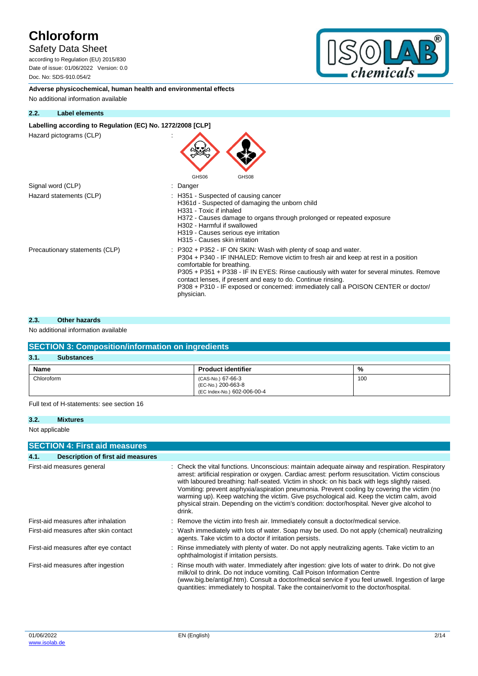## Safety Data Sheet

according to Regulation (EU) 2015/830 Date of issue: 01/06/2022 Version: 0.0 Doc. No: SDS-910.054/2



**Adverse physicochemical, human health and environmental effects** No additional information available

### **2.2. Label elements**

### Labelling according to Regulation (EC) No. 1272/2008 [CLP]

Hazard pictograms (CLP) :

| Hazaru pictugrafijs (ULF)      | GHS06<br>GHS08                                                                                                                                                                                                                                                                                                                                                                                                                                       |
|--------------------------------|------------------------------------------------------------------------------------------------------------------------------------------------------------------------------------------------------------------------------------------------------------------------------------------------------------------------------------------------------------------------------------------------------------------------------------------------------|
| Signal word (CLP)              | Danger                                                                                                                                                                                                                                                                                                                                                                                                                                               |
| Hazard statements (CLP)        | H351 - Suspected of causing cancer<br>H361d - Suspected of damaging the unborn child<br>H331 - Toxic if inhaled<br>H372 - Causes damage to organs through prolonged or repeated exposure<br>H302 - Harmful if swallowed<br>H319 - Causes serious eye irritation<br>H315 - Causes skin irritation                                                                                                                                                     |
| Precautionary statements (CLP) | $: P302 + P352$ IF ON SKIN: Wash with plenty of soap and water.<br>P304 + P340 - IF INHALED: Remove victim to fresh air and keep at rest in a position<br>comfortable for breathing.<br>P305 + P351 + P338 - IF IN EYES: Rinse cautiously with water for several minutes. Remove<br>contact lenses, if present and easy to do. Continue rinsing.<br>P308 + P310 - IF exposed or concerned: immediately call a POISON CENTER or doctor/<br>physician. |

 $\blacktriangle$ 

#### **2.3. Other hazards**

### No additional information available

| <b>SECTION 3: Composition/information on ingredients</b> |                                                                        |     |  |  |
|----------------------------------------------------------|------------------------------------------------------------------------|-----|--|--|
| 3.1.<br><b>Substances</b>                                |                                                                        |     |  |  |
| <b>Name</b>                                              | <b>Product identifier</b>                                              | %   |  |  |
| Chloroform                                               | (CAS-No.) 67-66-3<br>(EC-No.) 200-663-8<br>(EC Index-No.) 602-006-00-4 | 100 |  |  |

Full text of H-statements: see section 16

#### **3.2. Mixtures**

Not applicable

| <b>SECTION 4: First aid measures</b> |                                       |  |                                                                                                                                                                                                                                                                                                                                                                                                                                                                                                                                                                                                            |  |
|--------------------------------------|---------------------------------------|--|------------------------------------------------------------------------------------------------------------------------------------------------------------------------------------------------------------------------------------------------------------------------------------------------------------------------------------------------------------------------------------------------------------------------------------------------------------------------------------------------------------------------------------------------------------------------------------------------------------|--|
| 4.1.                                 | Description of first aid measures     |  |                                                                                                                                                                                                                                                                                                                                                                                                                                                                                                                                                                                                            |  |
|                                      | First-aid measures general            |  | Check the vital functions. Unconscious: maintain adequate airway and respiration. Respiratory<br>arrest: artificial respiration or oxygen. Cardiac arrest: perform resuscitation. Victim conscious<br>with laboured breathing: half-seated. Victim in shock: on his back with legs slightly raised.<br>Vomiting: prevent asphyxia/aspiration pneumonia. Prevent cooling by covering the victim (no<br>warming up). Keep watching the victim. Give psychological aid. Keep the victim calm, avoid<br>physical strain. Depending on the victim's condition: doctor/hospital. Never give alcohol to<br>drink. |  |
|                                      | First-aid measures after inhalation   |  | : Remove the victim into fresh air. Immediately consult a doctor/medical service.                                                                                                                                                                                                                                                                                                                                                                                                                                                                                                                          |  |
|                                      | First-aid measures after skin contact |  | : Wash immediately with lots of water. Soap may be used. Do not apply (chemical) neutralizing<br>agents. Take victim to a doctor if irritation persists.                                                                                                                                                                                                                                                                                                                                                                                                                                                   |  |
|                                      | First-aid measures after eye contact  |  | : Rinse immediately with plenty of water. Do not apply neutralizing agents. Take victim to an<br>ophthalmologist if irritation persists.                                                                                                                                                                                                                                                                                                                                                                                                                                                                   |  |
|                                      | First-aid measures after ingestion    |  | : Rinse mouth with water. Immediately after ingestion: give lots of water to drink. Do not give<br>milk/oil to drink. Do not induce vomiting. Call Poison Information Centre<br>(www.big.be/antigif.htm). Consult a doctor/medical service if you feel unwell. Ingestion of large<br>quantities: immediately to hospital. Take the container/vomit to the doctor/hospital.                                                                                                                                                                                                                                 |  |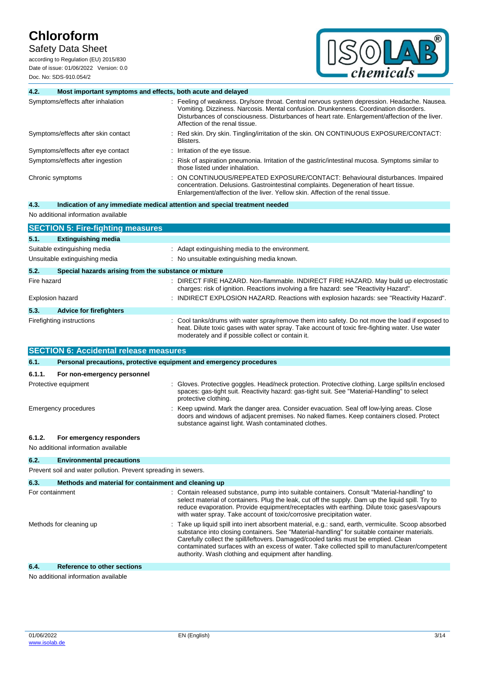## Safety Data Sheet

according to Regulation (EU) 2015/830 Date of issue: 01/06/2022 Version: 0.0 Doc. No: SDS-910.054/2



| 4.2.        | Most important symptoms and effects, both acute and delayed |                                                                                                                                                                                                                                                                                                                         |
|-------------|-------------------------------------------------------------|-------------------------------------------------------------------------------------------------------------------------------------------------------------------------------------------------------------------------------------------------------------------------------------------------------------------------|
|             | Symptoms/effects after inhalation                           | Feeling of weakness. Dry/sore throat. Central nervous system depression. Headache. Nausea.<br>Vomiting. Dizziness. Narcosis. Mental confusion. Drunkenness. Coordination disorders.<br>Disturbances of consciousness. Disturbances of heart rate. Enlargement/affection of the liver.<br>Affection of the renal tissue. |
|             | Symptoms/effects after skin contact                         | Red skin. Dry skin. Tingling/irritation of the skin. ON CONTINUOUS EXPOSURE/CONTACT:<br>Blisters.                                                                                                                                                                                                                       |
|             | Symptoms/effects after eye contact                          | Irritation of the eye tissue.                                                                                                                                                                                                                                                                                           |
|             | Symptoms/effects after ingestion                            | Risk of aspiration pneumonia. Irritation of the gastric/intestinal mucosa. Symptoms similar to<br>those listed under inhalation.                                                                                                                                                                                        |
|             | Chronic symptoms                                            | ON CONTINUOUS/REPEATED EXPOSURE/CONTACT: Behavioural disturbances. Impaired<br>concentration. Delusions. Gastrointestinal complaints. Degeneration of heart tissue.<br>Enlargement/affection of the liver. Yellow skin. Affection of the renal tissue.                                                                  |
| 4.3.        |                                                             | Indication of any immediate medical attention and special treatment needed                                                                                                                                                                                                                                              |
|             | No additional information available                         |                                                                                                                                                                                                                                                                                                                         |
|             | <b>SECTION 5: Fire-fighting measures</b>                    |                                                                                                                                                                                                                                                                                                                         |
| 5.1.        | <b>Extinguishing media</b>                                  |                                                                                                                                                                                                                                                                                                                         |
|             | Suitable extinguishing media                                | : Adapt extinguishing media to the environment.                                                                                                                                                                                                                                                                         |
|             | Unsuitable extinguishing media                              | : No unsuitable extinguishing media known.                                                                                                                                                                                                                                                                              |
| 5.2.        | Special hazards arising from the substance or mixture       |                                                                                                                                                                                                                                                                                                                         |
| Fire hazard |                                                             | : DIRECT FIRE HAZARD. Non-flammable. INDIRECT FIRE HAZARD. May build up electrostatic<br>charges: risk of ignition. Reactions involving a fire hazard: see "Reactivity Hazard".                                                                                                                                         |
|             | <b>Explosion hazard</b>                                     | : INDIRECT EXPLOSION HAZARD. Reactions with explosion hazards: see "Reactivity Hazard".                                                                                                                                                                                                                                 |
| 5.3.        | <b>Advice for firefighters</b>                              |                                                                                                                                                                                                                                                                                                                         |
|             | Firefighting instructions                                   | Cool tanks/drums with water spray/remove them into safety. Do not move the load if exposed to<br>heat. Dilute toxic gases with water spray. Take account of toxic fire-fighting water. Use water<br>moderately and if possible collect or contain it.                                                                   |
|             | <b>SECTION 6: Accidental release measures</b>               |                                                                                                                                                                                                                                                                                                                         |
| 6.1.        |                                                             | Personal precautions, protective equipment and emergency procedures                                                                                                                                                                                                                                                     |

| 6.1.1.<br>For non-emergency personnel |                                                                                                                                                                                                                                            |
|---------------------------------------|--------------------------------------------------------------------------------------------------------------------------------------------------------------------------------------------------------------------------------------------|
| Protective equipment                  | : Gloves. Protective goggles. Head/neck protection. Protective clothing. Large spills/in enclosed<br>spaces: gas-tight suit. Reactivity hazard: gas-tight suit. See "Material-Handling" to select<br>protective clothing.                  |
| Emergency procedures                  | Keep upwind. Mark the danger area. Consider evacuation. Seal off low-lying areas. Close<br>doors and windows of adjacent premises. No naked flames. Keep containers closed. Protect<br>substance against light. Wash contaminated clothes. |

## **6.1.2. For emergency responders**

No additional information available

# **6.2. Environmental precautions**

Prevent soil and water pollution. Prevent spreading in sewers.

| 6.3.            | Methods and material for containment and cleaning up |                                                                                                                                                                                                                                                                                                                                                                                                                                                       |
|-----------------|------------------------------------------------------|-------------------------------------------------------------------------------------------------------------------------------------------------------------------------------------------------------------------------------------------------------------------------------------------------------------------------------------------------------------------------------------------------------------------------------------------------------|
| For containment |                                                      | : Contain released substance, pump into suitable containers. Consult "Material-handling" to<br>select material of containers. Plug the leak, cut off the supply. Dam up the liquid spill. Try to<br>reduce evaporation. Provide equipment/receptacles with earthing. Dilute toxic gases/vapours<br>with water spray. Take account of toxic/corrosive precipitation water.                                                                             |
|                 | Methods for cleaning up                              | : Take up liquid spill into inert absorbent material, e.g.: sand, earth, vermiculite. Scoop absorbed<br>substance into closing containers. See "Material-handling" for suitable container materials.<br>Carefully collect the spill/leftovers. Damaged/cooled tanks must be emptied. Clean<br>contaminated surfaces with an excess of water. Take collected spill to manufacturer/competent<br>authority. Wash clothing and equipment after handling. |
| 6.4.            | <b>Reference to other sections</b>                   |                                                                                                                                                                                                                                                                                                                                                                                                                                                       |

No additional information available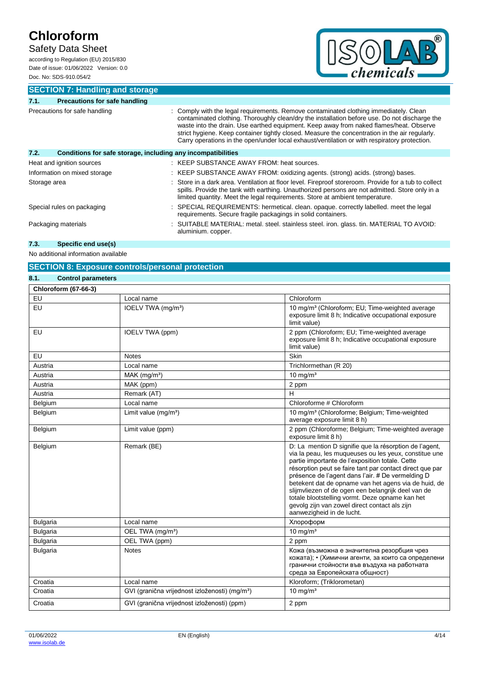## Safety Data Sheet

according to Regulation (EU) 2015/830 Date of issue: 01/06/2022 Version: 0.0 Doc. No: SDS-910.054/2



**SECTION 7: Handling and storage**

| 7.1.                          | <b>Precautions for safe handling</b>                         |                                                                                                                                                                                                                                                                                                                                                                                                                                                                                  |  |
|-------------------------------|--------------------------------------------------------------|----------------------------------------------------------------------------------------------------------------------------------------------------------------------------------------------------------------------------------------------------------------------------------------------------------------------------------------------------------------------------------------------------------------------------------------------------------------------------------|--|
| Precautions for safe handling |                                                              | Comply with the legal requirements. Remove contaminated clothing immediately. Clean<br>contaminated clothing. Thoroughly clean/dry the installation before use. Do not discharge the<br>waste into the drain. Use earthed equipment. Keep away from naked flames/heat. Observe<br>strict hygiene. Keep container tightly closed. Measure the concentration in the air regularly.<br>Carry operations in the open/under local exhaust/ventilation or with respiratory protection. |  |
| 7.2.                          | Conditions for safe storage, including any incompatibilities |                                                                                                                                                                                                                                                                                                                                                                                                                                                                                  |  |
|                               | Heat and ignition sources                                    | : KEEP SUBSTANCE AWAY FROM: heat sources.                                                                                                                                                                                                                                                                                                                                                                                                                                        |  |
|                               | Information on mixed storage                                 | : KEEP SUBSTANCE AWAY FROM: oxidizing agents. (strong) acids. (strong) bases.                                                                                                                                                                                                                                                                                                                                                                                                    |  |
| Storage area                  |                                                              | Store in a dark area. Ventilation at floor level. Fireproof storeroom. Provide for a tub to collect<br>spills. Provide the tank with earthing. Unauthorized persons are not admitted. Store only in a<br>limited quantity. Meet the legal requirements. Store at ambient temperature.                                                                                                                                                                                            |  |
|                               | Special rules on packaging                                   | : SPECIAL REQUIREMENTS: hermetical. clean. opaque. correctly labelled. meet the legal<br>requirements. Secure fragile packagings in solid containers.                                                                                                                                                                                                                                                                                                                            |  |
|                               | Packaging materials                                          | : SUITABLE MATERIAL: metal. steel. stainless steel. iron. glass. tin. MATERIAL TO AVOID:<br>aluminium. copper.                                                                                                                                                                                                                                                                                                                                                                   |  |

## **7.3. Specific end use(s)**

No additional information available

## **SECTION 8: Exposure controls/personal protection**

| 8.1.<br><b>Control parameters</b> |                                                            |                                                                                                                                                                                                                                                                                                                                                                                                                                                                                                                                    |
|-----------------------------------|------------------------------------------------------------|------------------------------------------------------------------------------------------------------------------------------------------------------------------------------------------------------------------------------------------------------------------------------------------------------------------------------------------------------------------------------------------------------------------------------------------------------------------------------------------------------------------------------------|
| <b>Chloroform (67-66-3)</b>       |                                                            |                                                                                                                                                                                                                                                                                                                                                                                                                                                                                                                                    |
| EU                                | Local name                                                 | Chloroform                                                                                                                                                                                                                                                                                                                                                                                                                                                                                                                         |
| EU                                | IOELV TWA (mg/m <sup>3</sup> )                             | 10 mg/m <sup>3</sup> (Chloroform; EU; Time-weighted average<br>exposure limit 8 h; Indicative occupational exposure<br>limit value)                                                                                                                                                                                                                                                                                                                                                                                                |
| EU                                | IOELV TWA (ppm)                                            | 2 ppm (Chloroform; EU; Time-weighted average<br>exposure limit 8 h; Indicative occupational exposure<br>limit value)                                                                                                                                                                                                                                                                                                                                                                                                               |
| EU                                | <b>Notes</b>                                               | Skin                                                                                                                                                                                                                                                                                                                                                                                                                                                                                                                               |
| Austria                           | Local name                                                 | Trichlormethan (R 20)                                                                                                                                                                                                                                                                                                                                                                                                                                                                                                              |
| Austria                           | $MAK$ (mg/m <sup>3</sup> )                                 | $10$ mg/m <sup>3</sup>                                                                                                                                                                                                                                                                                                                                                                                                                                                                                                             |
| Austria                           | MAK (ppm)                                                  | 2 ppm                                                                                                                                                                                                                                                                                                                                                                                                                                                                                                                              |
| Austria                           | Remark (AT)                                                | н                                                                                                                                                                                                                                                                                                                                                                                                                                                                                                                                  |
| Belgium                           | Local name                                                 | Chloroforme # Chloroform                                                                                                                                                                                                                                                                                                                                                                                                                                                                                                           |
| Belgium                           | Limit value (mg/m <sup>3</sup> )                           | 10 mg/m <sup>3</sup> (Chloroforme; Belgium; Time-weighted<br>average exposure limit 8 h)                                                                                                                                                                                                                                                                                                                                                                                                                                           |
| Belgium                           | Limit value (ppm)                                          | 2 ppm (Chloroforme; Belgium; Time-weighted average<br>exposure limit 8 h)                                                                                                                                                                                                                                                                                                                                                                                                                                                          |
| Belgium                           | Remark (BE)                                                | D: La mention D signifie que la résorption de l'agent,<br>via la peau, les muqueuses ou les yeux, constitue une<br>partie importante de l'exposition totale. Cette<br>résorption peut se faire tant par contact direct que par<br>présence de l'agent dans l'air. # De vermelding D<br>betekent dat de opname van het agens via de huid, de<br>slijmvliezen of de ogen een belangrijk deel van de<br>totale blootstelling vormt. Deze opname kan het<br>gevolg zijn van zowel direct contact als zijn<br>aanwezigheid in de lucht. |
| <b>Bulgaria</b>                   | Local name                                                 | Хлороформ                                                                                                                                                                                                                                                                                                                                                                                                                                                                                                                          |
| <b>Bulgaria</b>                   | OEL TWA (mg/m <sup>3</sup> )                               | $10$ mg/m <sup>3</sup>                                                                                                                                                                                                                                                                                                                                                                                                                                                                                                             |
| <b>Bulgaria</b>                   | OEL TWA (ppm)                                              | 2 ppm                                                                                                                                                                                                                                                                                                                                                                                                                                                                                                                              |
| <b>Bulgaria</b>                   | <b>Notes</b>                                               | Кожа (възможна е значителна резорбция чрез<br>кожата); • (Химични агенти, за които са определени<br>гранични стойности във въздуха на работната<br>среда за Европейската общност)                                                                                                                                                                                                                                                                                                                                                  |
| Croatia                           | Local name                                                 | Kloroform; (Triklorometan)                                                                                                                                                                                                                                                                                                                                                                                                                                                                                                         |
| Croatia                           | GVI (granična vrijednost izloženosti) (mg/m <sup>3</sup> ) | $10 \text{ mg/m}^3$                                                                                                                                                                                                                                                                                                                                                                                                                                                                                                                |
| Croatia                           | GVI (granična vrijednost izloženosti) (ppm)                | 2 ppm                                                                                                                                                                                                                                                                                                                                                                                                                                                                                                                              |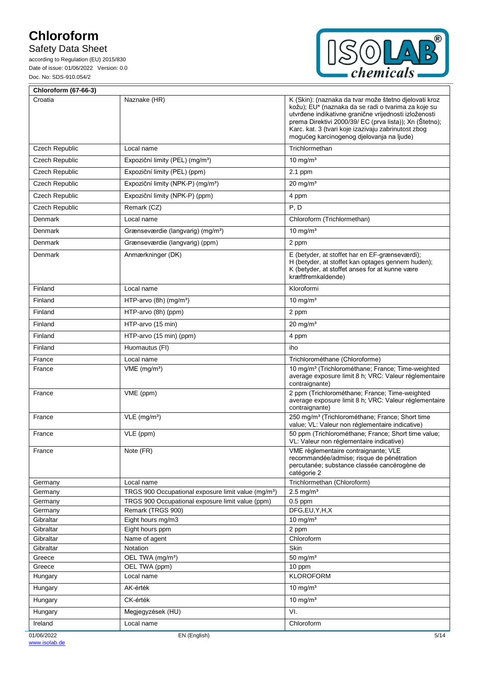# Safety Data Sheet



| <b>Chloroform (67-66-3)</b> |                                                                       |                                                                                                                                                                                                                                                                                                                                      |
|-----------------------------|-----------------------------------------------------------------------|--------------------------------------------------------------------------------------------------------------------------------------------------------------------------------------------------------------------------------------------------------------------------------------------------------------------------------------|
| Croatia                     | Naznake (HR)                                                          | K (Skin): (naznaka da tvar može štetno djelovati kroz<br>kožu); EU* (naznaka da se radi o tvarima za koje su<br>utvrđene indikativne granične vrijednosti izloženosti<br>prema Direktivi 2000/39/ EC (prva lista)); Xn (Štetno);<br>Karc. kat. 3 (tvari koje izazivaju zabrinutost zbog<br>mogućeg karcinogenog djelovanja na ljude) |
| Czech Republic              | Local name                                                            | Trichlormethan                                                                                                                                                                                                                                                                                                                       |
| <b>Czech Republic</b>       | Expoziční limity (PEL) (mg/m <sup>3</sup> )                           | 10 mg/ $m3$                                                                                                                                                                                                                                                                                                                          |
| <b>Czech Republic</b>       | Expoziční limity (PEL) (ppm)                                          | 2.1 ppm                                                                                                                                                                                                                                                                                                                              |
| <b>Czech Republic</b>       | Expoziční limity (NPK-P) (mg/m <sup>3</sup> )                         | $20 \text{ mg/m}^3$                                                                                                                                                                                                                                                                                                                  |
| Czech Republic              | Expoziční limity (NPK-P) (ppm)                                        | 4 ppm                                                                                                                                                                                                                                                                                                                                |
| Czech Republic              | Remark (CZ)                                                           | P, D                                                                                                                                                                                                                                                                                                                                 |
| Denmark                     | Local name                                                            | Chloroform (Trichlormethan)                                                                                                                                                                                                                                                                                                          |
| Denmark                     | Grænseværdie (langvarig) (mg/m <sup>3</sup> )                         | 10 mg/ $m3$                                                                                                                                                                                                                                                                                                                          |
| Denmark                     | Grænseværdie (langvarig) (ppm)                                        | 2 ppm                                                                                                                                                                                                                                                                                                                                |
| Denmark                     | Anmærkninger (DK)                                                     | E (betyder, at stoffet har en EF-grænseværdi);                                                                                                                                                                                                                                                                                       |
|                             |                                                                       | H (betyder, at stoffet kan optages gennem huden);<br>K (betyder, at stoffet anses for at kunne være<br>kræftfremkaldende)                                                                                                                                                                                                            |
| Finland                     | Local name                                                            | Kloroformi                                                                                                                                                                                                                                                                                                                           |
| Finland                     | HTP-arvo $(8h)$ (mg/m <sup>3</sup> )                                  | 10 mg/ $m3$                                                                                                                                                                                                                                                                                                                          |
| Finland                     | HTP-arvo (8h) (ppm)                                                   | 2 ppm                                                                                                                                                                                                                                                                                                                                |
| Finland                     | HTP-arvo (15 min)                                                     | $20 \text{ mg/m}^3$                                                                                                                                                                                                                                                                                                                  |
| Finland                     | HTP-arvo (15 min) (ppm)                                               | 4 ppm                                                                                                                                                                                                                                                                                                                                |
| Finland                     | Huomautus (FI)                                                        | iho                                                                                                                                                                                                                                                                                                                                  |
| France                      | Local name                                                            | Trichlorométhane (Chloroforme)                                                                                                                                                                                                                                                                                                       |
| France                      | $VME$ (mg/m <sup>3</sup> )                                            | 10 mg/m <sup>3</sup> (Trichlorométhane; France; Time-weighted<br>average exposure limit 8 h; VRC: Valeur réglementaire<br>contraignante)                                                                                                                                                                                             |
| France                      | VME (ppm)                                                             | 2 ppm (Trichlorométhane; France; Time-weighted<br>average exposure limit 8 h; VRC: Valeur réglementaire<br>contraignante)                                                                                                                                                                                                            |
| France                      | $VLE$ (mg/m <sup>3</sup> )                                            | 250 mg/m <sup>3</sup> (Trichlorométhane; France; Short time<br>value; VL: Valeur non réglementaire indicative)                                                                                                                                                                                                                       |
| France                      | VLE (ppm)                                                             | 50 ppm (Trichlorométhane; France; Short time value;<br>VL: Valeur non réglementaire indicative)                                                                                                                                                                                                                                      |
| France                      | Note (FR)                                                             | VME règlementaire contraignante; VLE<br>recommandée/admise; risque de pénétration<br>percutanée; substance classée cancérogène de<br>catégorie 2                                                                                                                                                                                     |
| Germany                     | Local name                                                            | Trichlormethan (Chloroform)                                                                                                                                                                                                                                                                                                          |
| Germany                     | TRGS 900 Occupational exposure limit value (mg/m <sup>3</sup> )       | $2.5$ mg/m <sup>3</sup><br>$0.5$ ppm                                                                                                                                                                                                                                                                                                 |
| Germany<br>Germany          | TRGS 900 Occupational exposure limit value (ppm)<br>Remark (TRGS 900) | DFG,EU,Y,H,X                                                                                                                                                                                                                                                                                                                         |
| Gibraltar                   | Eight hours mg/m3                                                     | 10 mg/ $m3$                                                                                                                                                                                                                                                                                                                          |
| Gibraltar                   | Eight hours ppm                                                       | 2 ppm                                                                                                                                                                                                                                                                                                                                |
| Gibraltar                   | Name of agent                                                         | Chloroform                                                                                                                                                                                                                                                                                                                           |
| Gibraltar                   | Notation                                                              | Skin                                                                                                                                                                                                                                                                                                                                 |
| Greece                      | OEL TWA (mg/m <sup>3</sup> )                                          | 50 mg/ $m3$                                                                                                                                                                                                                                                                                                                          |
| Greece<br>Hungary           | OEL TWA (ppm)<br>Local name                                           | 10 ppm<br><b>KLOROFORM</b>                                                                                                                                                                                                                                                                                                           |
| Hungary                     | AK-érték                                                              | 10 mg/m <sup>3</sup>                                                                                                                                                                                                                                                                                                                 |
|                             | CK-érték                                                              | $10 \text{ mg/m}^3$                                                                                                                                                                                                                                                                                                                  |
| Hungary                     |                                                                       | VI.                                                                                                                                                                                                                                                                                                                                  |
| Hungary                     | Megjegyzések (HU)                                                     |                                                                                                                                                                                                                                                                                                                                      |
| Ireland                     | Local name                                                            | Chloroform                                                                                                                                                                                                                                                                                                                           |
| 01/06/2022                  | EN (English)                                                          | 5/14                                                                                                                                                                                                                                                                                                                                 |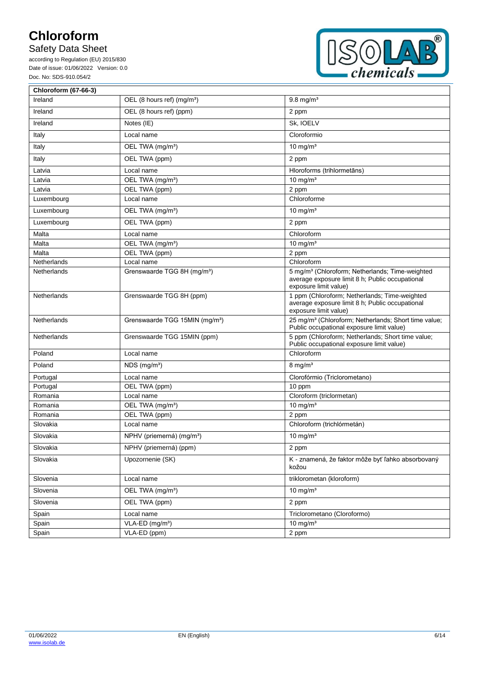# Safety Data Sheet



| <b>Chloroform (67-66-3)</b> |                                            |                                                                                                                                         |  |
|-----------------------------|--------------------------------------------|-----------------------------------------------------------------------------------------------------------------------------------------|--|
| Ireland                     | OEL (8 hours ref) (mg/m <sup>3</sup> )     | $9.8$ mg/m <sup>3</sup>                                                                                                                 |  |
| Ireland                     | OEL (8 hours ref) (ppm)                    | 2 ppm                                                                                                                                   |  |
| Ireland                     | Notes (IE)                                 | Sk, IOELV                                                                                                                               |  |
| Italy                       | Local name                                 | Cloroformio                                                                                                                             |  |
| Italy                       | OEL TWA (mg/m <sup>3</sup> )               | 10 mg/ $m3$                                                                                                                             |  |
| Italy                       | OEL TWA (ppm)                              | 2 ppm                                                                                                                                   |  |
| Latvia                      | Local name                                 | Hloroforms (trihlormetāns)                                                                                                              |  |
| Latvia                      | OEL TWA (mg/m <sup>3</sup> )               | 10 mg/ $m3$                                                                                                                             |  |
| Latvia                      | OEL TWA (ppm)                              | 2 ppm                                                                                                                                   |  |
| Luxembourg                  | Local name                                 | Chloroforme                                                                                                                             |  |
| Luxembourg                  | OEL TWA (mg/m <sup>3</sup> )               | 10 mg/ $m3$                                                                                                                             |  |
| Luxembourg                  | OEL TWA (ppm)                              | 2 ppm                                                                                                                                   |  |
| Malta                       | Local name                                 | Chloroform                                                                                                                              |  |
| Malta                       | OEL TWA (mg/m <sup>3</sup> )               | 10 mg/ $m3$                                                                                                                             |  |
| Malta                       | OEL TWA (ppm)                              | 2 ppm                                                                                                                                   |  |
| Netherlands                 | Local name                                 | Chloroform                                                                                                                              |  |
| Netherlands                 | Grenswaarde TGG 8H (mg/m <sup>3</sup> )    | 5 mg/m <sup>3</sup> (Chloroform; Netherlands; Time-weighted<br>average exposure limit 8 h; Public occupational<br>exposure limit value) |  |
| Netherlands                 | Grenswaarde TGG 8H (ppm)                   | 1 ppm (Chloroform; Netherlands; Time-weighted<br>average exposure limit 8 h; Public occupational<br>exposure limit value)               |  |
| Netherlands                 | Grenswaarde TGG 15MIN (mg/m <sup>3</sup> ) | 25 mg/m <sup>3</sup> (Chloroform; Netherlands; Short time value;<br>Public occupational exposure limit value)                           |  |
| Netherlands                 | Grenswaarde TGG 15MIN (ppm)                | 5 ppm (Chloroform; Netherlands; Short time value;<br>Public occupational exposure limit value)                                          |  |
| Poland                      | Local name                                 | Chloroform                                                                                                                              |  |
| Poland                      | $NDS$ (mg/m <sup>3</sup> )                 | $8 \text{ mg/m}^3$                                                                                                                      |  |
| Portugal                    | Local name                                 | Clorofórmio (Triclorometano)                                                                                                            |  |
| Portugal                    | OEL TWA (ppm)                              | 10 ppm                                                                                                                                  |  |
| Romania                     | Local name                                 | Cloroform (triclormetan)                                                                                                                |  |
| Romania                     | OEL TWA (mg/m <sup>3</sup> )               | 10 mg/ $m3$                                                                                                                             |  |
| Romania                     | OEL TWA (ppm)                              | 2 ppm                                                                                                                                   |  |
| Slovakia                    | Local name                                 | Chloroform (trichlórmetán)                                                                                                              |  |
| Slovakia                    | NPHV (priemerná) (mg/m <sup>3</sup> )      | $10 \text{ mg/m}^3$                                                                                                                     |  |
| Slovakia                    | NPHV (priemerná) (ppm)                     | 2 ppm                                                                                                                                   |  |
| Slovakia                    | Upozornenie (SK)                           | K - znamená, že faktor môže byť ľahko absorbovaný<br>kožou                                                                              |  |
| Slovenia                    | Local name                                 | triklorometan (kloroform)                                                                                                               |  |
| Slovenia                    | OEL TWA (mg/m <sup>3</sup> )               | 10 mg/ $m3$                                                                                                                             |  |
| Slovenia                    | OEL TWA (ppm)                              | 2 ppm                                                                                                                                   |  |
| Spain                       | Local name                                 | Triclorometano (Cloroformo)                                                                                                             |  |
| Spain                       | VLA-ED (mg/m <sup>3</sup> )                | 10 mg/ $m3$                                                                                                                             |  |
| Spain                       | VLA-ED (ppm)                               | 2 ppm                                                                                                                                   |  |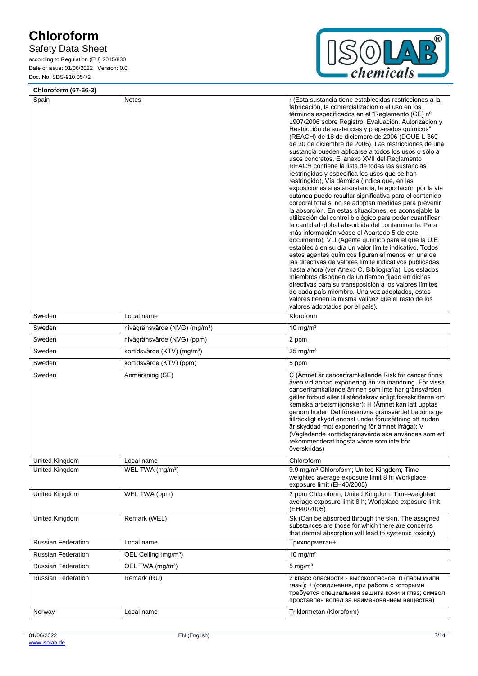# Safety Data Sheet



| <b>Chloroform (67-66-3)</b> |                                           |                                                                                                                                                                                                                                                                                                                                                                                                                                                                                                                                                                                                                                                                                                                                                                                                                                                                                                                                                                                                                                                                                                                                                                                                                                                                                                                                                                                                                                                                                                                                                                                                                |
|-----------------------------|-------------------------------------------|----------------------------------------------------------------------------------------------------------------------------------------------------------------------------------------------------------------------------------------------------------------------------------------------------------------------------------------------------------------------------------------------------------------------------------------------------------------------------------------------------------------------------------------------------------------------------------------------------------------------------------------------------------------------------------------------------------------------------------------------------------------------------------------------------------------------------------------------------------------------------------------------------------------------------------------------------------------------------------------------------------------------------------------------------------------------------------------------------------------------------------------------------------------------------------------------------------------------------------------------------------------------------------------------------------------------------------------------------------------------------------------------------------------------------------------------------------------------------------------------------------------------------------------------------------------------------------------------------------------|
| Spain                       | Notes                                     | r (Esta sustancia tiene establecidas restricciones a la<br>fabricación, la comercialización o el uso en los<br>términos especificados en el "Reglamento (CE) nº<br>1907/2006 sobre Registro, Evaluación, Autorización y<br>Restricción de sustancias y preparados químicos"<br>(REACH) de 18 de diciembre de 2006 (DOUE L 369<br>de 30 de diciembre de 2006). Las restricciones de una<br>sustancia pueden aplicarse a todos los usos o sólo a<br>usos concretos. El anexo XVII del Reglamento<br>REACH contiene la lista de todas las sustancias<br>restringidas y especifica los usos que se han<br>restringido), Vía dérmica (Indica que, en las<br>exposiciones a esta sustancia, la aportación por la vía<br>cutánea puede resultar significativa para el contenido<br>corporal total si no se adoptan medidas para prevenir<br>la absorción. En estas situaciones, es aconsejable la<br>utilización del control biológico para poder cuantificar<br>la cantidad global absorbida del contaminante. Para<br>más información véase el Apartado 5 de este<br>documento), VLI (Agente químico para el que la U.E.<br>estableció en su día un valor límite indicativo. Todos<br>estos agentes químicos figuran al menos en una de<br>las directivas de valores límite indicativos publicadas<br>hasta ahora (ver Anexo C. Bibliografía). Los estados<br>miembros disponen de un tiempo fijado en dichas<br>directivas para su transposición a los valores límites<br>de cada país miembro. Una vez adoptados, estos<br>valores tienen la misma validez que el resto de los<br>valores adoptados por el país). |
| Sweden                      | Local name                                | Kloroform                                                                                                                                                                                                                                                                                                                                                                                                                                                                                                                                                                                                                                                                                                                                                                                                                                                                                                                                                                                                                                                                                                                                                                                                                                                                                                                                                                                                                                                                                                                                                                                                      |
| Sweden                      | nivågränsvärde (NVG) (mg/m <sup>3</sup> ) | 10 mg/ $m3$                                                                                                                                                                                                                                                                                                                                                                                                                                                                                                                                                                                                                                                                                                                                                                                                                                                                                                                                                                                                                                                                                                                                                                                                                                                                                                                                                                                                                                                                                                                                                                                                    |
| Sweden                      | nivågränsvärde (NVG) (ppm)                | 2 ppm                                                                                                                                                                                                                                                                                                                                                                                                                                                                                                                                                                                                                                                                                                                                                                                                                                                                                                                                                                                                                                                                                                                                                                                                                                                                                                                                                                                                                                                                                                                                                                                                          |
| Sweden                      | kortidsvärde (KTV) (mg/m <sup>3</sup> )   | $25 \text{ mg/m}^3$                                                                                                                                                                                                                                                                                                                                                                                                                                                                                                                                                                                                                                                                                                                                                                                                                                                                                                                                                                                                                                                                                                                                                                                                                                                                                                                                                                                                                                                                                                                                                                                            |
| Sweden                      | kortidsvärde (KTV) (ppm)                  | 5 ppm                                                                                                                                                                                                                                                                                                                                                                                                                                                                                                                                                                                                                                                                                                                                                                                                                                                                                                                                                                                                                                                                                                                                                                                                                                                                                                                                                                                                                                                                                                                                                                                                          |
| Sweden                      | Anmärkning (SE)                           | C (Ämnet är cancerframkallande Risk för cancer finns<br>även vid annan exponering än via inandning. För vissa<br>cancerframkallande ämnen som inte har gränsvärden<br>gäller förbud eller tillståndskrav enligt föreskrifterna om<br>kemiska arbetsmiljörisker); H (Ämnet kan lätt upptas<br>genom huden Det föreskrivna gränsvärdet bedöms ge<br>tillräckligt skydd endast under förutsättning att huden<br>är skyddad mot exponering för ämnet ifråga); V<br>(Vägledande korttidsgränsvärde ska användas som ett<br>rekommenderat högsta värde som inte bör<br>överskridas)                                                                                                                                                                                                                                                                                                                                                                                                                                                                                                                                                                                                                                                                                                                                                                                                                                                                                                                                                                                                                                  |
| United Kingdom              | Local name                                | Chloroform                                                                                                                                                                                                                                                                                                                                                                                                                                                                                                                                                                                                                                                                                                                                                                                                                                                                                                                                                                                                                                                                                                                                                                                                                                                                                                                                                                                                                                                                                                                                                                                                     |
| United Kingdom              | WEL TWA (mg/m <sup>3</sup> )              | 9.9 mg/m <sup>3</sup> Chloroform; United Kingdom; Time-<br>weighted average exposure limit 8 h; Workplace<br>exposure limit (EH40/2005)                                                                                                                                                                                                                                                                                                                                                                                                                                                                                                                                                                                                                                                                                                                                                                                                                                                                                                                                                                                                                                                                                                                                                                                                                                                                                                                                                                                                                                                                        |
| United Kingdom              | WEL TWA (ppm)                             | 2 ppm Chloroform; United Kingdom; Time-weighted<br>average exposure limit 8 h; Workplace exposure limit<br>(EH40/2005)                                                                                                                                                                                                                                                                                                                                                                                                                                                                                                                                                                                                                                                                                                                                                                                                                                                                                                                                                                                                                                                                                                                                                                                                                                                                                                                                                                                                                                                                                         |
| United Kingdom              | Remark (WEL)                              | Sk (Can be absorbed through the skin. The assigned<br>substances are those for which there are concerns<br>that dermal absorption will lead to systemic toxicity)                                                                                                                                                                                                                                                                                                                                                                                                                                                                                                                                                                                                                                                                                                                                                                                                                                                                                                                                                                                                                                                                                                                                                                                                                                                                                                                                                                                                                                              |
| <b>Russian Federation</b>   | Local name                                | Трихлорметан+                                                                                                                                                                                                                                                                                                                                                                                                                                                                                                                                                                                                                                                                                                                                                                                                                                                                                                                                                                                                                                                                                                                                                                                                                                                                                                                                                                                                                                                                                                                                                                                                  |
| <b>Russian Federation</b>   | OEL Ceiling (mg/m <sup>3</sup> )          | 10 mg/ $m3$                                                                                                                                                                                                                                                                                                                                                                                                                                                                                                                                                                                                                                                                                                                                                                                                                                                                                                                                                                                                                                                                                                                                                                                                                                                                                                                                                                                                                                                                                                                                                                                                    |
| <b>Russian Federation</b>   | OEL TWA (mg/m <sup>3</sup> )              | $5$ mg/m <sup>3</sup>                                                                                                                                                                                                                                                                                                                                                                                                                                                                                                                                                                                                                                                                                                                                                                                                                                                                                                                                                                                                                                                                                                                                                                                                                                                                                                                                                                                                                                                                                                                                                                                          |
| Russian Federation          | Remark (RU)                               | 2 класс опасности - высокоопасное; п (пары и/или<br>газы); + (соединения, при работе с которыми<br>требуется специальная защита кожи и глаз; символ<br>проставлен вслед за наименованием вещества)                                                                                                                                                                                                                                                                                                                                                                                                                                                                                                                                                                                                                                                                                                                                                                                                                                                                                                                                                                                                                                                                                                                                                                                                                                                                                                                                                                                                             |
| Norway                      | Local name                                | Triklormetan (Kloroform)                                                                                                                                                                                                                                                                                                                                                                                                                                                                                                                                                                                                                                                                                                                                                                                                                                                                                                                                                                                                                                                                                                                                                                                                                                                                                                                                                                                                                                                                                                                                                                                       |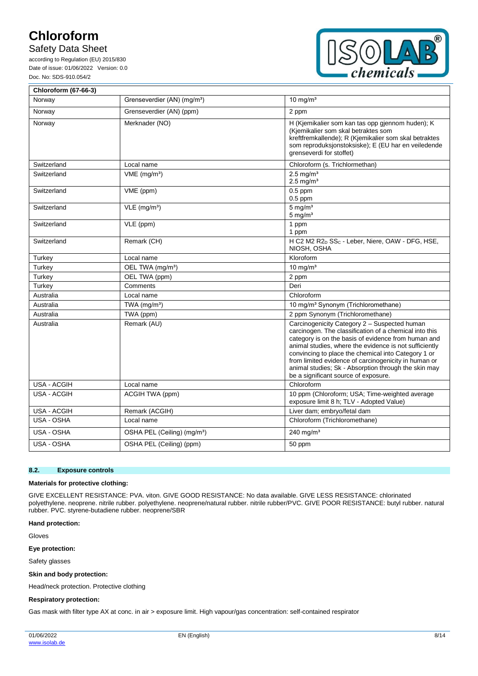Ē

## Safety Data Sheet

according to Regulation (EU) 2015/830 Date of issue: 01/06/2022 Version: 0.0 Doc. No: SDS-910.054/2



| Chloroform (67-66-3) |                                         |                                                                                                                                                                                                                                                                                                                                                                                                                                        |
|----------------------|-----------------------------------------|----------------------------------------------------------------------------------------------------------------------------------------------------------------------------------------------------------------------------------------------------------------------------------------------------------------------------------------------------------------------------------------------------------------------------------------|
| Norway               | Grenseverdier (AN) (mg/m <sup>3</sup> ) | 10 mg/ $m3$                                                                                                                                                                                                                                                                                                                                                                                                                            |
| Norway               | Grenseverdier (AN) (ppm)                | 2 ppm                                                                                                                                                                                                                                                                                                                                                                                                                                  |
| Norway               | Merknader (NO)                          | H (Kjemikalier som kan tas opp gjennom huden); K<br>(Kjemikalier som skal betraktes som<br>kreftfremkallende); R (Kjemikalier som skal betraktes<br>som reproduksjonstoksiske); E (EU har en veiledende<br>grenseverdi for stoffet)                                                                                                                                                                                                    |
| Switzerland          | Local name                              | Chloroform (s. Trichlormethan)                                                                                                                                                                                                                                                                                                                                                                                                         |
| Switzerland          | $VME$ (mg/m <sup>3</sup> )              | $2.5$ ma/m <sup>3</sup><br>$2.5 \text{ mg/m}^3$                                                                                                                                                                                                                                                                                                                                                                                        |
| Switzerland          | VME (ppm)                               | $0.5$ ppm<br>$0.5$ ppm                                                                                                                                                                                                                                                                                                                                                                                                                 |
| Switzerland          | $VLE$ (mg/m <sup>3</sup> )              | $5 \text{ mg/m}^3$<br>$5 \text{ mg/m}^3$                                                                                                                                                                                                                                                                                                                                                                                               |
| Switzerland          | VLE (ppm)                               | 1 ppm<br>1 ppm                                                                                                                                                                                                                                                                                                                                                                                                                         |
| Switzerland          | Remark (CH)                             | H C2 M2 R2 <sub>D</sub> SS <sub>C</sub> - Leber, Niere, OAW - DFG, HSE,<br>NIOSH, OSHA                                                                                                                                                                                                                                                                                                                                                 |
| Turkey               | Local name                              | Kloroform                                                                                                                                                                                                                                                                                                                                                                                                                              |
| Turkey               | OEL TWA (mg/m <sup>3</sup> )            | $10 \text{ mg/m}^3$                                                                                                                                                                                                                                                                                                                                                                                                                    |
| Turkey               | OEL TWA (ppm)                           | 2 ppm                                                                                                                                                                                                                                                                                                                                                                                                                                  |
| Turkey               | Comments                                | Deri                                                                                                                                                                                                                                                                                                                                                                                                                                   |
| Australia            | Local name                              | Chloroform                                                                                                                                                                                                                                                                                                                                                                                                                             |
| Australia            | TWA $(mg/m3)$                           | 10 mg/m <sup>3</sup> Synonym (Trichloromethane)                                                                                                                                                                                                                                                                                                                                                                                        |
| Australia            | TWA (ppm)                               | 2 ppm Synonym (Trichloromethane)                                                                                                                                                                                                                                                                                                                                                                                                       |
| Australia            | Remark (AU)                             | Carcinogenicity Category 2 - Suspected human<br>carcinogen. The classification of a chemical into this<br>category is on the basis of evidence from human and<br>animal studies, where the evidence is not sufficiently<br>convincing to place the chemical into Category 1 or<br>from limited evidence of carcinogenicity in human or<br>animal studies; Sk - Absorption through the skin may<br>be a significant source of exposure. |
| USA - ACGIH          | Local name                              | Chloroform                                                                                                                                                                                                                                                                                                                                                                                                                             |
| USA - ACGIH          | ACGIH TWA (ppm)                         | 10 ppm (Chloroform; USA; Time-weighted average<br>exposure limit 8 h; TLV - Adopted Value)                                                                                                                                                                                                                                                                                                                                             |
| USA - ACGIH          | Remark (ACGIH)                          | Liver dam; embryo/fetal dam                                                                                                                                                                                                                                                                                                                                                                                                            |
| USA - OSHA           | Local name                              | Chloroform (Trichloromethane)                                                                                                                                                                                                                                                                                                                                                                                                          |
| USA - OSHA           | OSHA PEL (Ceiling) (mg/m <sup>3</sup> ) | 240 mg/m <sup>3</sup>                                                                                                                                                                                                                                                                                                                                                                                                                  |
| USA - OSHA           | OSHA PEL (Ceiling) (ppm)                | 50 ppm                                                                                                                                                                                                                                                                                                                                                                                                                                 |

### **8.2. Exposure controls**

#### **Materials for protective clothing:**

GIVE EXCELLENT RESISTANCE: PVA. viton. GIVE GOOD RESISTANCE: No data available. GIVE LESS RESISTANCE: chlorinated polyethylene. neoprene. nitrile rubber. polyethylene. neoprene/natural rubber. nitrile rubber/PVC. GIVE POOR RESISTANCE: butyl rubber. natural rubber. PVC. styrene-butadiene rubber. neoprene/SBR

#### **Hand protection:**

Gloves

### **Eye protection:**

Safety glasses

#### **Skin and body protection:**

Head/neck protection. Protective clothing

#### **Respiratory protection:**

Gas mask with filter type AX at conc. in air > exposure limit. High vapour/gas concentration: self-contained respirator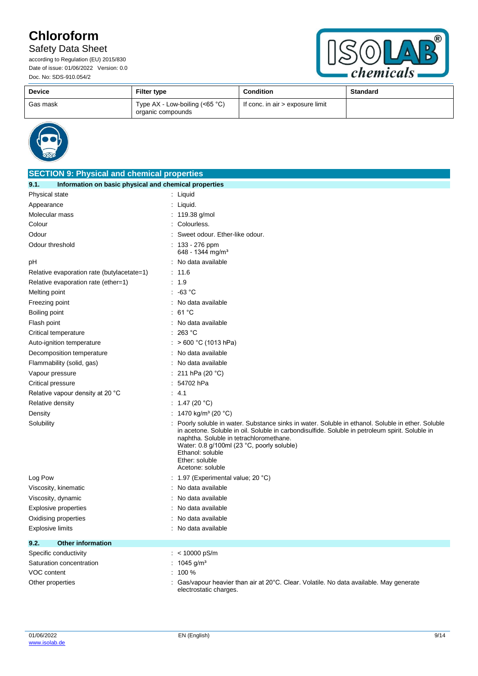# Safety Data Sheet



| <b>Device</b> | <b>Filter type</b>                                    | <b>Condition</b>                 | <b>Standard</b> |
|---------------|-------------------------------------------------------|----------------------------------|-----------------|
| Gas mask      | Type $AX - Low-boiling (<65 °C)$<br>organic compounds | If conc. in air > exposure limit |                 |



| <b>SECTION 9: Physical and chemical properties</b>            |                                                                                                                                                                                                                                                                                                                                                        |  |
|---------------------------------------------------------------|--------------------------------------------------------------------------------------------------------------------------------------------------------------------------------------------------------------------------------------------------------------------------------------------------------------------------------------------------------|--|
| Information on basic physical and chemical properties<br>9.1. |                                                                                                                                                                                                                                                                                                                                                        |  |
| Physical state                                                | $:$ Liquid                                                                                                                                                                                                                                                                                                                                             |  |
| Appearance                                                    | Liquid.                                                                                                                                                                                                                                                                                                                                                |  |
| Molecular mass                                                | 119.38 g/mol                                                                                                                                                                                                                                                                                                                                           |  |
| Colour                                                        | Colourless.                                                                                                                                                                                                                                                                                                                                            |  |
| Odour                                                         | Sweet odour. Ether-like odour.                                                                                                                                                                                                                                                                                                                         |  |
| Odour threshold                                               | : $133 - 276$ ppm<br>648 - 1344 mg/m <sup>3</sup>                                                                                                                                                                                                                                                                                                      |  |
| рH                                                            | : No data available                                                                                                                                                                                                                                                                                                                                    |  |
| Relative evaporation rate (butylacetate=1)                    | : 11.6                                                                                                                                                                                                                                                                                                                                                 |  |
| Relative evaporation rate (ether=1)                           | : 1.9                                                                                                                                                                                                                                                                                                                                                  |  |
| Melting point                                                 | $: -63 °C$                                                                                                                                                                                                                                                                                                                                             |  |
| Freezing point                                                | : No data available                                                                                                                                                                                                                                                                                                                                    |  |
| Boiling point                                                 | : 61 °C                                                                                                                                                                                                                                                                                                                                                |  |
| Flash point                                                   | No data available                                                                                                                                                                                                                                                                                                                                      |  |
| Critical temperature                                          | 263 °C                                                                                                                                                                                                                                                                                                                                                 |  |
| Auto-ignition temperature                                     | $>600 °C$ (1013 hPa)                                                                                                                                                                                                                                                                                                                                   |  |
| Decomposition temperature                                     | No data available                                                                                                                                                                                                                                                                                                                                      |  |
| Flammability (solid, gas)                                     | : No data available                                                                                                                                                                                                                                                                                                                                    |  |
| Vapour pressure                                               | 211 hPa (20 °C)                                                                                                                                                                                                                                                                                                                                        |  |
| Critical pressure                                             | 54702 hPa                                                                                                                                                                                                                                                                                                                                              |  |
| Relative vapour density at 20 °C                              | 4.1                                                                                                                                                                                                                                                                                                                                                    |  |
| Relative density                                              | : 1.47 (20 °C)                                                                                                                                                                                                                                                                                                                                         |  |
| Density                                                       | : 1470 kg/m <sup>3</sup> (20 °C)                                                                                                                                                                                                                                                                                                                       |  |
| Solubility                                                    | Poorly soluble in water. Substance sinks in water. Soluble in ethanol. Soluble in ether. Soluble<br>in acetone. Soluble in oil. Soluble in carbondisulfide. Soluble in petroleum spirit. Soluble in<br>naphtha. Soluble in tetrachloromethane.<br>Water: 0.8 g/100ml (23 °C, poorly soluble)<br>Ethanol: soluble<br>Ether: soluble<br>Acetone: soluble |  |
| Log Pow                                                       | 1.97 (Experimental value; 20 °C)                                                                                                                                                                                                                                                                                                                       |  |
| Viscosity, kinematic                                          | No data available                                                                                                                                                                                                                                                                                                                                      |  |
| Viscosity, dynamic                                            | No data available                                                                                                                                                                                                                                                                                                                                      |  |
| Explosive properties                                          | No data available                                                                                                                                                                                                                                                                                                                                      |  |
| Oxidising properties                                          | No data available                                                                                                                                                                                                                                                                                                                                      |  |
| Explosive limits                                              | No data available                                                                                                                                                                                                                                                                                                                                      |  |
| 9.2.<br><b>Other information</b>                              |                                                                                                                                                                                                                                                                                                                                                        |  |
| Specific conductivity                                         | : < $10000$ pS/m                                                                                                                                                                                                                                                                                                                                       |  |
| Saturation concentration                                      | : $1045$ g/m <sup>3</sup>                                                                                                                                                                                                                                                                                                                              |  |
| VOC content                                                   | $: 100 \%$                                                                                                                                                                                                                                                                                                                                             |  |
| Other properties                                              | Gas/vapour heavier than air at 20°C. Clear. Volatile. No data available. May generate<br>electrostatic charges.                                                                                                                                                                                                                                        |  |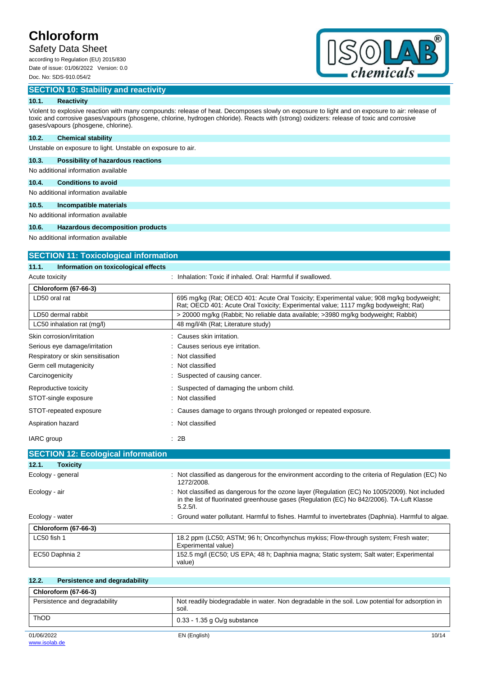# Safety Data Sheet

according to Regulation (EU) 2015/830 Date of issue: 01/06/2022 Version: 0.0 Doc. No: SDS-910.054/2

## **SECTION 10: Stability and reactivity**



## **10.1. Reactivity**

Violent to explosive reaction with many compounds: release of heat. Decomposes slowly on exposure to light and on exposure to air: release of toxic and corrosive gases/vapours (phosgene, chlorine, hydrogen chloride). Reacts with (strong) oxidizers: release of toxic and corrosive gases/vapours (phosgene, chlorine).

### **10.2. Chemical stability**

Unstable on exposure to light. Unstable on exposure to air.

## **10.3. Possibility of hazardous reactions**

No additional information available

## **10.4. Conditions to avoid**

No additional information available

### **10.5. Incompatible materials**

No additional information available

### **10.6. Hazardous decomposition products**

No additional information available

| <b>SECTION 11: Toxicological information</b>  |                                                                                                                                                                                                       |  |  |
|-----------------------------------------------|-------------------------------------------------------------------------------------------------------------------------------------------------------------------------------------------------------|--|--|
| 11.1.<br>Information on toxicological effects |                                                                                                                                                                                                       |  |  |
| Acute toxicity                                | : Inhalation: Toxic if inhaled. Oral: Harmful if swallowed.                                                                                                                                           |  |  |
| <b>Chloroform (67-66-3)</b>                   |                                                                                                                                                                                                       |  |  |
| LD50 oral rat                                 | 695 mg/kg (Rat: OECD 401: Acute Oral Toxicity: Experimental value: 908 mg/kg bodyweight:<br>Rat: OECD 401: Acute Oral Toxicity: Experimental value: 1117 mg/kg bodyweight: Rat)                       |  |  |
| LD50 dermal rabbit                            | > 20000 mg/kg (Rabbit; No reliable data available; >3980 mg/kg bodyweight; Rabbit)                                                                                                                    |  |  |
| LC50 inhalation rat (mg/l)                    | 48 mg/l/4h (Rat; Literature study)                                                                                                                                                                    |  |  |
| Skin corrosion/irritation                     | : Causes skin irritation.                                                                                                                                                                             |  |  |
| Serious eye damage/irritation                 | Causes serious eye irritation.                                                                                                                                                                        |  |  |
| Respiratory or skin sensitisation             | Not classified                                                                                                                                                                                        |  |  |
| Germ cell mutagenicity                        | Not classified                                                                                                                                                                                        |  |  |
| Carcinogenicity                               | Suspected of causing cancer.                                                                                                                                                                          |  |  |
| Reproductive toxicity                         | Suspected of damaging the unborn child.                                                                                                                                                               |  |  |
| STOT-single exposure                          | Not classified                                                                                                                                                                                        |  |  |
| STOT-repeated exposure                        | Causes damage to organs through prolonged or repeated exposure.                                                                                                                                       |  |  |
| Aspiration hazard                             | Not classified                                                                                                                                                                                        |  |  |
| IARC group                                    | : 2B                                                                                                                                                                                                  |  |  |
| <b>SECTION 12: Ecological information</b>     |                                                                                                                                                                                                       |  |  |
| 12.1.<br><b>Toxicity</b>                      |                                                                                                                                                                                                       |  |  |
| Ecology - general                             | Not classified as dangerous for the environment according to the criteria of Regulation (EC) No<br>1272/2008.                                                                                         |  |  |
| Ecology - air                                 | Not classified as dangerous for the ozone layer (Regulation (EC) No 1005/2009). Not included<br>in the list of fluorinated greenhouse gases (Regulation (EC) No 842/2006). TA-Luft Klasse<br>5.2.5/l. |  |  |

| Ecology - water             | : Ground water pollutant. Harmful to fishes. Harmful to invertebrates (Daphnia). Harmful to algae.        |
|-----------------------------|-----------------------------------------------------------------------------------------------------------|
| <b>Chloroform (67-66-3)</b> |                                                                                                           |
| LC50 fish 1                 | 18.2 ppm (LC50; ASTM; 96 h; Oncorhynchus mykiss; Flow-through system; Fresh water;<br>Experimental value) |
| EC50 Daphnia 2              | 152.5 mg/l (EC50; US EPA; 48 h; Daphnia magna; Static system; Salt water; Experimental                    |

| 12.2.<br>Persistence and degradability |                                                                                                          |
|----------------------------------------|----------------------------------------------------------------------------------------------------------|
| <b>Chloroform (67-66-3)</b>            |                                                                                                          |
| Persistence and degradability          | Not readily biodegradable in water. Non degradable in the soil. Low potential for adsorption in<br>soil. |
| <b>ThOD</b>                            | $0.33 - 1.35$ g $O2/g$ substance                                                                         |
| 01/06/2022                             | 10/14<br>EN (English)                                                                                    |
|                                        |                                                                                                          |

value)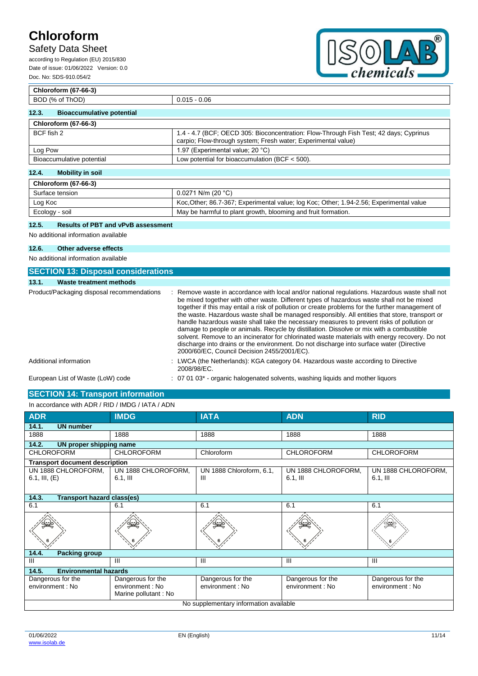## Safety Data Sheet

according to Regulation (EU) 2015/830 Date of issue: 01/06/2022 Version: 0.0 Doc. No: SDS-910.054/2



## **Chloroform (67-66-3)** BOD (% of ThOD) 0.015 - 0.06 **12.3. Bioaccumulative potential Chloroform (67-66-3)** BCF fish 2 1.4 - 4.7 (BCF; OECD 305: Bioconcentration: Flow-Through Fish Test; 42 days; Cyprinus carpio; Flow-through system; Fresh water; Experimental value) Log Pow  $\vert$  1.97 (Experimental value; 20 °C) Bioaccumulative potential Low potential for bioaccumulation (BCF < 500).

## **12.4. Mobility in soil**

| <b>Chloroform (67-66-3)</b> |                                                                                         |  |
|-----------------------------|-----------------------------------------------------------------------------------------|--|
| Surface tension             | $0.0271$ N/m (20 °C)                                                                    |  |
| Log Koc                     | Koc, Other; 86.7-367; Experimental value; log Koc; Other; 1.94-2.56; Experimental value |  |
| Ecology - soil              | May be harmful to plant growth, blooming and fruit formation.                           |  |

## **12.5. Results of PBT and vPvB assessment**

No additional information available

### **12.6. Other adverse effects**

No additional information available

| <b>SECTION 13: Disposal considerations</b> |                                                                                                                                                                                                                                                                                                                                                                                                                                                                                                                                                                                                                                                                                                                                                                                                                                         |  |  |  |
|--------------------------------------------|-----------------------------------------------------------------------------------------------------------------------------------------------------------------------------------------------------------------------------------------------------------------------------------------------------------------------------------------------------------------------------------------------------------------------------------------------------------------------------------------------------------------------------------------------------------------------------------------------------------------------------------------------------------------------------------------------------------------------------------------------------------------------------------------------------------------------------------------|--|--|--|
| Waste treatment methods<br>13.1.           |                                                                                                                                                                                                                                                                                                                                                                                                                                                                                                                                                                                                                                                                                                                                                                                                                                         |  |  |  |
| Product/Packaging disposal recommendations | : Remove waste in accordance with local and/or national regulations. Hazardous waste shall not<br>be mixed together with other waste. Different types of hazardous waste shall not be mixed<br>together if this may entail a risk of pollution or create problems for the further management of<br>the waste. Hazardous waste shall be managed responsibly. All entities that store, transport or<br>handle hazardous waste shall take the necessary measures to prevent risks of pollution or<br>damage to people or animals. Recycle by distillation. Dissolve or mix with a combustible<br>solvent. Remove to an incinerator for chlorinated waste materials with energy recovery. Do not<br>discharge into drains or the environment. Do not discharge into surface water (Directive<br>2000/60/EC, Council Decision 2455/2001/EC). |  |  |  |
| Additional information                     | LWCA (the Netherlands): KGA category 04. Hazardous waste according to Directive<br>2008/98/EC.                                                                                                                                                                                                                                                                                                                                                                                                                                                                                                                                                                                                                                                                                                                                          |  |  |  |
| European List of Waste (LoW) code          | $\therefore$ 07 01 03 <sup>*</sup> - organic halogenated solvents, washing liguids and mother liguors                                                                                                                                                                                                                                                                                                                                                                                                                                                                                                                                                                                                                                                                                                                                   |  |  |  |

## **SECTION 14: Transport information**

| In accordance with ADR / RID / IMDG / IATA / ADN |                                                               |                                       |                                      |                                       |  |
|--------------------------------------------------|---------------------------------------------------------------|---------------------------------------|--------------------------------------|---------------------------------------|--|
| <b>ADR</b>                                       | <b>IMDG</b>                                                   | <b>IATA</b>                           | <b>ADN</b>                           | <b>RID</b>                            |  |
| 14.1.<br><b>UN number</b>                        |                                                               |                                       |                                      |                                       |  |
| 1888                                             | 1888                                                          | 1888                                  | 1888                                 | 1888                                  |  |
| 14.2.<br>UN proper shipping name                 |                                                               |                                       |                                      |                                       |  |
| <b>CHLOROFORM</b>                                | <b>CHLOROFORM</b>                                             | Chloroform                            | <b>CHLOROFORM</b>                    | <b>CHLOROFORM</b>                     |  |
| <b>Transport document description</b>            |                                                               |                                       |                                      |                                       |  |
| UN 1888 CHLOROFORM,<br>6.1, III, $(E)$           | UN 1888 CHLOROFORM,<br>$6.1$ , III                            | UN 1888 Chloroform, 6.1,<br>Ш         | UN 1888 CHLOROFORM,<br>$6.1,$ III    | UN 1888 CHLOROFORM,<br>$6.1,$ III     |  |
| 14.3.<br><b>Transport hazard class(es)</b>       |                                                               |                                       |                                      |                                       |  |
| 6.1                                              | 6.1                                                           | 6.1                                   | 6.1                                  | 6.1                                   |  |
|                                                  |                                                               |                                       |                                      |                                       |  |
| 14.4.<br><b>Packing group</b>                    |                                                               |                                       |                                      |                                       |  |
| III                                              | Ш                                                             | $\mathbf{III}$                        | III                                  | Ш                                     |  |
| 14.5.<br><b>Environmental hazards</b>            |                                                               |                                       |                                      |                                       |  |
| Dangerous for the<br>environment : No            | Dangerous for the<br>environment : No<br>Marine pollutant: No | Dangerous for the<br>environment : No | Dangerous for the<br>environment: No | Dangerous for the<br>environment : No |  |
| No supplementary information available           |                                                               |                                       |                                      |                                       |  |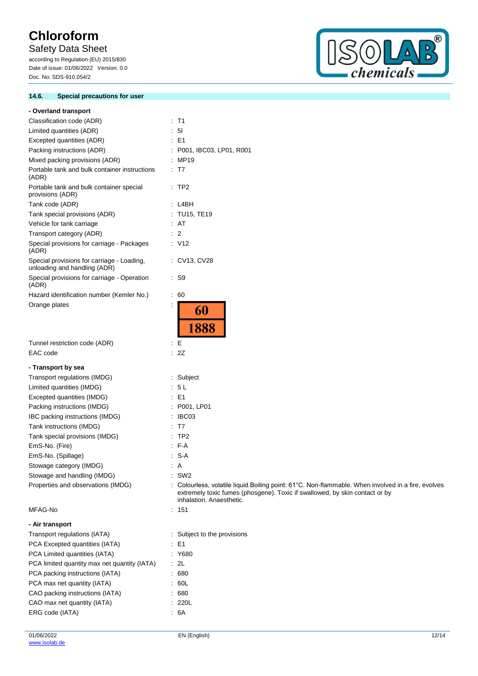# Safety Data Sheet

according to Regulation (EU) 2015/830 Date of issue: 01/06/2022 Version: 0.0 Doc. No: SDS-910.054/2

### **14.6. Special precautions for user**



| - Overland transport                                                       |   |                                                                                                                                                                                                               |
|----------------------------------------------------------------------------|---|---------------------------------------------------------------------------------------------------------------------------------------------------------------------------------------------------------------|
| Classification code (ADR)                                                  |   | : T1                                                                                                                                                                                                          |
| Limited quantities (ADR)                                                   |   | 5 <sub>l</sub>                                                                                                                                                                                                |
| Excepted quantities (ADR)                                                  |   | $\therefore$ E1                                                                                                                                                                                               |
| Packing instructions (ADR)                                                 |   | : P001, IBC03, LP01, R001                                                                                                                                                                                     |
| Mixed packing provisions (ADR)                                             |   | : MP19                                                                                                                                                                                                        |
| Portable tank and bulk container instructions<br>(ADR)                     |   | $\therefore$ T7                                                                                                                                                                                               |
| Portable tank and bulk container special<br>provisions (ADR)               |   | $\therefore$ TP2                                                                                                                                                                                              |
| Tank code (ADR)                                                            |   | : L4BH                                                                                                                                                                                                        |
| Tank special provisions (ADR)                                              |   | : TU15, TE19                                                                                                                                                                                                  |
| Vehicle for tank carriage                                                  |   | : AT                                                                                                                                                                                                          |
| Transport category (ADR)                                                   |   | $\therefore$ 2                                                                                                                                                                                                |
| Special provisions for carriage - Packages<br>(ADR)                        |   | : V12                                                                                                                                                                                                         |
| Special provisions for carriage - Loading,<br>unloading and handling (ADR) |   | : CV13, CV28                                                                                                                                                                                                  |
| Special provisions for carriage - Operation<br>(ADR)                       |   | : S9                                                                                                                                                                                                          |
| Hazard identification number (Kemler No.)                                  |   | $\therefore 60$                                                                                                                                                                                               |
| Orange plates                                                              | ÷ |                                                                                                                                                                                                               |
|                                                                            |   | 60<br>1888                                                                                                                                                                                                    |
| Tunnel restriction code (ADR)                                              |   | $\therefore$ E                                                                                                                                                                                                |
| EAC code                                                                   |   | : 2Z                                                                                                                                                                                                          |
| - Transport by sea                                                         |   |                                                                                                                                                                                                               |
| Transport regulations (IMDG)                                               |   | : Subject                                                                                                                                                                                                     |
| Limited quantities (IMDG)                                                  |   | : 5L                                                                                                                                                                                                          |
| Excepted quantities (IMDG)                                                 |   | $\therefore$ E1                                                                                                                                                                                               |
| Packing instructions (IMDG)                                                |   | P001, LP01                                                                                                                                                                                                    |
| IBC packing instructions (IMDG)                                            | ÷ | IBC03                                                                                                                                                                                                         |
| Tank instructions (IMDG)                                                   |   | T7                                                                                                                                                                                                            |
| Tank special provisions (IMDG)                                             |   | TP <sub>2</sub>                                                                                                                                                                                               |
| EmS-No. (Fire)                                                             |   | $-F-A$                                                                                                                                                                                                        |
| EmS-No. (Spillage)                                                         |   | S-A                                                                                                                                                                                                           |
| Stowage category (IMDG)                                                    |   | $\therefore$ A                                                                                                                                                                                                |
| Stowage and handling (IMDG)                                                |   | $:$ SW2                                                                                                                                                                                                       |
| Properties and observations (IMDG)                                         |   | : Colourless, volatile liquid.Boiling point: 61°C. Non-flammable. When involved in a fire, evolves<br>extremely toxic fumes (phosgene). Toxic if swallowed, by skin contact or by<br>inhalation. Anaesthetic. |
| MFAG-No                                                                    |   | : 151                                                                                                                                                                                                         |
|                                                                            |   |                                                                                                                                                                                                               |
| - Air transport                                                            |   |                                                                                                                                                                                                               |
| Transport regulations (IATA)                                               |   | : Subject to the provisions<br>$\therefore$ E1                                                                                                                                                                |
| PCA Excepted quantities (IATA)                                             |   | : Y680                                                                                                                                                                                                        |
| PCA Limited quantities (IATA)                                              |   | $\cdot$ 2L                                                                                                                                                                                                    |
| PCA limited quantity max net quantity (IATA)                               |   |                                                                                                                                                                                                               |
| PCA packing instructions (IATA)                                            |   | : 680<br>.60L                                                                                                                                                                                                 |
| PCA max net quantity (IATA)                                                |   |                                                                                                                                                                                                               |
| CAO packing instructions (IATA)<br>CAO max net quantity (IATA)             |   | .680<br>: 220L                                                                                                                                                                                                |
| ERG code (IATA)                                                            |   | .6A                                                                                                                                                                                                           |
|                                                                            |   |                                                                                                                                                                                                               |
|                                                                            |   |                                                                                                                                                                                                               |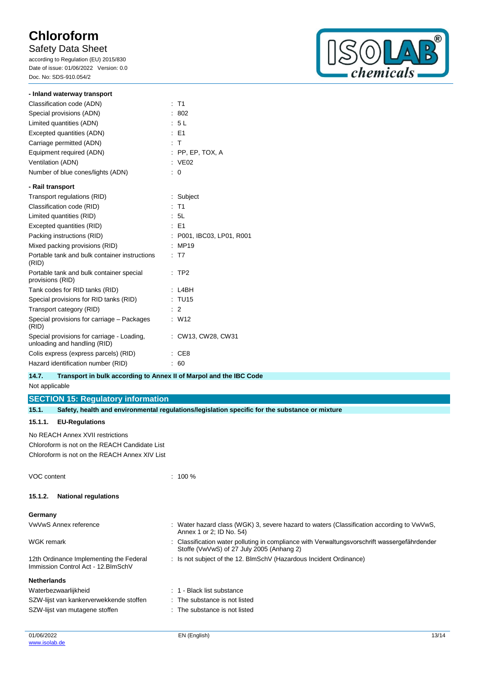## Safety Data Sheet

according to Regulation (EU) 2015/830 Date of issue: 01/06/2022 Version: 0.0 Doc. No: SDS-910.054/2



| - Inland waterway transport                                                |                         |
|----------------------------------------------------------------------------|-------------------------|
| Classification code (ADN)                                                  | $:$ T1                  |
| Special provisions (ADN)                                                   | 802                     |
| Limited quantities (ADN)                                                   | : 5L                    |
| Excepted quantities (ADN)                                                  | $E = F1$                |
| Carriage permitted (ADN)                                                   | $\pm$ T                 |
| Equipment required (ADN)                                                   | $:$ PP, EP, TOX, A      |
| Ventilation (ADN)                                                          | : VE02                  |
| Number of blue cones/lights (ADN)                                          | 0                       |
| - Rail transport                                                           |                         |
| Transport regulations (RID)                                                | : Subject               |
| Classification code (RID)                                                  | $:$ T1                  |
| Limited quantities (RID)                                                   | : 5L                    |
| Excepted quantities (RID)                                                  | $E = 51$                |
| Packing instructions (RID)                                                 | P001, IBC03, LP01, R001 |
| Mixed packing provisions (RID)                                             | MP19                    |
| Portable tank and bulk container instructions<br>(RID)                     | T <sub>7</sub>          |
| Portable tank and bulk container special<br>provisions (RID)               | TP <sub>2</sub>         |
| Tank codes for RID tanks (RID)                                             | L4BH                    |
| Special provisions for RID tanks (RID)                                     | : TU15                  |
| Transport category (RID)                                                   | $\therefore$ 2          |
| Special provisions for carriage - Packages<br>(RID)                        | : W12                   |
| Special provisions for carriage - Loading,<br>unloading and handling (RID) | : CW13, CW28, CW31      |
| Colis express (express parcels) (RID)                                      | CE <sub>8</sub>         |
| Hazard identification number (RID)                                         | 60                      |

### **14.7. Transport in bulk according to Annex II of Marpol and the IBC Code**

Not applicable

# **SECTION 15: Regulatory information**

| 15.1.              |                                                                                | Safety, health and environmental regulations/legislation specific for the substance or mixture                                          |
|--------------------|--------------------------------------------------------------------------------|-----------------------------------------------------------------------------------------------------------------------------------------|
| 15.1.1.            | <b>EU-Regulations</b>                                                          |                                                                                                                                         |
|                    | No REACH Annex XVII restrictions                                               |                                                                                                                                         |
|                    | Chloroform is not on the REACH Candidate List                                  |                                                                                                                                         |
|                    | Chloroform is not on the REACH Annex XIV List                                  |                                                                                                                                         |
| VOC content        |                                                                                | $: 100 \%$                                                                                                                              |
| 15.1.2.            | <b>National regulations</b>                                                    |                                                                                                                                         |
| Germany            |                                                                                |                                                                                                                                         |
|                    | VwVwS Annex reference                                                          | : Water hazard class (WGK) 3, severe hazard to waters (Classification according to VwVwS,<br>Annex 1 or 2; ID No. 54)                   |
| WGK remark         |                                                                                | Classification water polluting in compliance with Verwaltungsvorschrift wassergefährdender<br>Stoffe (VwVwS) of 27 July 2005 (Anhang 2) |
|                    | 12th Ordinance Implementing the Federal<br>Immission Control Act - 12. BlmSchV | : Is not subject of the 12. BlmSchV (Hazardous Incident Ordinance)                                                                      |
| <b>Netherlands</b> |                                                                                |                                                                                                                                         |
|                    | Waterbezwaarlijkheid                                                           | : 1 - Black list substance                                                                                                              |
|                    | SZW-lijst van kankerverwekkende stoffen                                        | : The substance is not listed                                                                                                           |
|                    | SZW-lijst van mutagene stoffen                                                 | The substance is not listed                                                                                                             |